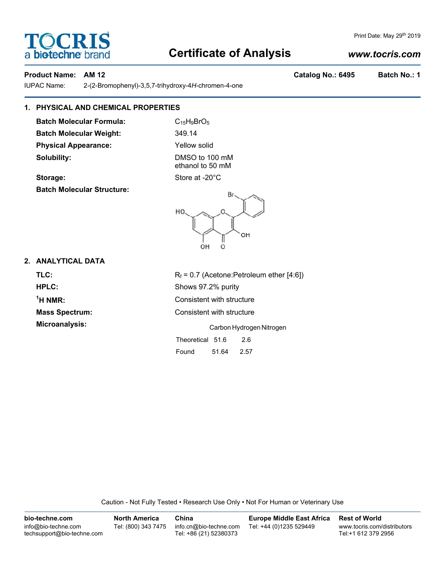# **Certificate of Analysis**

# *www.tocris.com*

IUPAC Name: 2-(2-Bromophenyl)-3,5,7-trihydroxy-4*H*-chromen-4-one

# **1. PHYSICAL AND CHEMICAL PROPERTIES**

**Batch Molecular Formula:** C<sub>15</sub>H<sub>9</sub>BrO<sub>5</sub> **Batch Molecular Weight:** 349.14 **Physical Appearance:** Yellow solid **Solubility:** DMSO to 100 mM

ethanol to 50 mM



# **2. ANALYTICAL DATA**

**TLC:**  $R_f = 0.7$  (Acetone:Petroleum ether [4:6]) **HPLC:** Shows 97.2% purity  $<sup>1</sup>H NMR$ </sup> **Consistent with structure Mass Spectrum:** Consistent with structure **Microanalysis:** Carbon Hydrogen Nitrogen Theoretical 51.6 2.6

Found 51.64 2.57

Caution - Not Fully Tested • Research Use Only • Not For Human or Veterinary Use

| bio-techne.com                                    | <b>North America</b> | China                                            | <b>Europe Middle East Africa</b> | <b>Rest of World</b>                               |
|---------------------------------------------------|----------------------|--------------------------------------------------|----------------------------------|----------------------------------------------------|
| info@bio-techne.com<br>techsupport@bio-techne.com | Tel: (800) 343 7475  | info.cn@bio-techne.com<br>Tel: +86 (21) 52380373 | Tel: +44 (0)1235 529449          | www.tocris.com/distributors<br>Tel:+1 612 379 2956 |

Storage: Store at -20°C **Batch Molecular Structure:**

Print Date: May 29th 2019

**Product Name: AM 12 Catalog No.: 6495 Batch No.: 1**